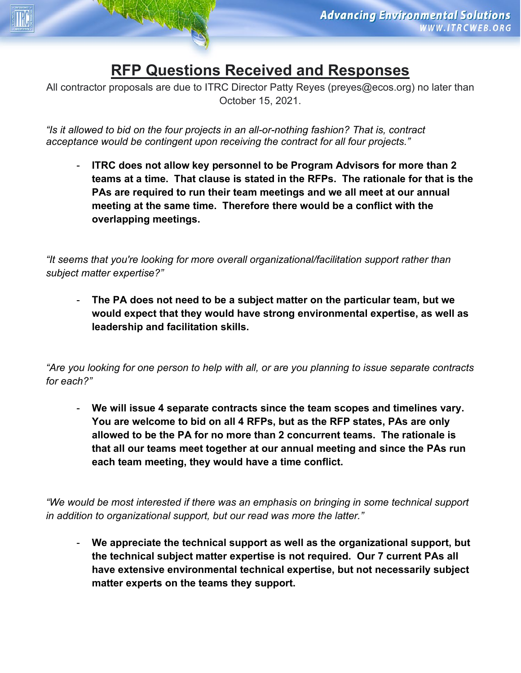## **RFP Questions Received and Responses**

All contractor proposals are due to ITRC Director Patty Reyes (preyes@ecos.org) no later than October 15, 2021.

*"Is it allowed to bid on the four projects in an all-or-nothing fashion? That is, contract acceptance would be contingent upon receiving the contract for all four projects."*

- **ITRC does not allow key personnel to be Program Advisors for more than 2 teams at a time. That clause is stated in the RFPs. The rationale for that is the PAs are required to run their team meetings and we all meet at our annual meeting at the same time. Therefore there would be a conflict with the overlapping meetings.**

*"It seems that you're looking for more overall organizational/facilitation support rather than subject matter expertise?"*

- **The PA does not need to be a subject matter on the particular team, but we would expect that they would have strong environmental expertise, as well as leadership and facilitation skills.** 

*"Are you looking for one person to help with all, or are you planning to issue separate contracts for each?"*

- **We will issue 4 separate contracts since the team scopes and timelines vary. You are welcome to bid on all 4 RFPs, but as the RFP states, PAs are only allowed to be the PA for no more than 2 concurrent teams. The rationale is that all our teams meet together at our annual meeting and since the PAs run each team meeting, they would have a time conflict.**

*"We would be most interested if there was an emphasis on bringing in some technical support in addition to organizational support, but our read was more the latter."*

- **We appreciate the technical support as well as the organizational support, but the technical subject matter expertise is not required. Our 7 current PAs all have extensive environmental technical expertise, but not necessarily subject matter experts on the teams they support.**